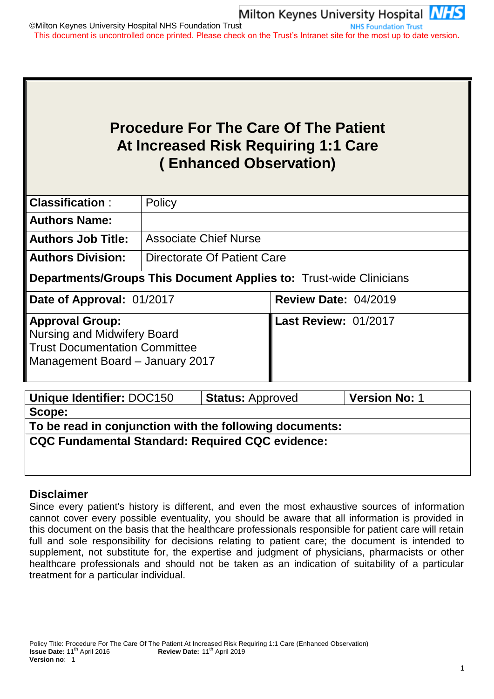# **Procedure For The Care Of The Patient At Increased Risk Requiring 1:1 Care ( Enhanced Observation)**

| <b>Classification:</b>                                                                                                                  | Policy                       |                                                                           |  |  |  |  |
|-----------------------------------------------------------------------------------------------------------------------------------------|------------------------------|---------------------------------------------------------------------------|--|--|--|--|
| <b>Authors Name:</b>                                                                                                                    |                              |                                                                           |  |  |  |  |
| <b>Authors Job Title:</b>                                                                                                               | <b>Associate Chief Nurse</b> |                                                                           |  |  |  |  |
| <b>Authors Division:</b>                                                                                                                | Directorate Of Patient Care  |                                                                           |  |  |  |  |
|                                                                                                                                         |                              | <b>Departments/Groups This Document Applies to: Trust-wide Clinicians</b> |  |  |  |  |
| Date of Approval: 01/2017                                                                                                               |                              | <b>Review Date: 04/2019</b>                                               |  |  |  |  |
| <b>Approval Group:</b><br><b>Nursing and Midwifery Board</b><br><b>Trust Documentation Committee</b><br>Management Board - January 2017 |                              | <b>Last Review: 01/2017</b>                                               |  |  |  |  |

| Unique Identifier: DOC150                               | <b>Status: Approved</b> | <b>Version No: 1</b> |
|---------------------------------------------------------|-------------------------|----------------------|
| Scope:                                                  |                         |                      |
| To be read in conjunction with the following documents: |                         |                      |
| <b>CQC Fundamental Standard: Required CQC evidence:</b> |                         |                      |
|                                                         |                         |                      |

# **Disclaimer**

Since every patient's history is different, and even the most exhaustive sources of information cannot cover every possible eventuality, you should be aware that all information is provided in this document on the basis that the healthcare professionals responsible for patient care will retain full and sole responsibility for decisions relating to patient care; the document is intended to supplement, not substitute for, the expertise and judgment of physicians, pharmacists or other healthcare professionals and should not be taken as an indication of suitability of a particular treatment for a particular individual.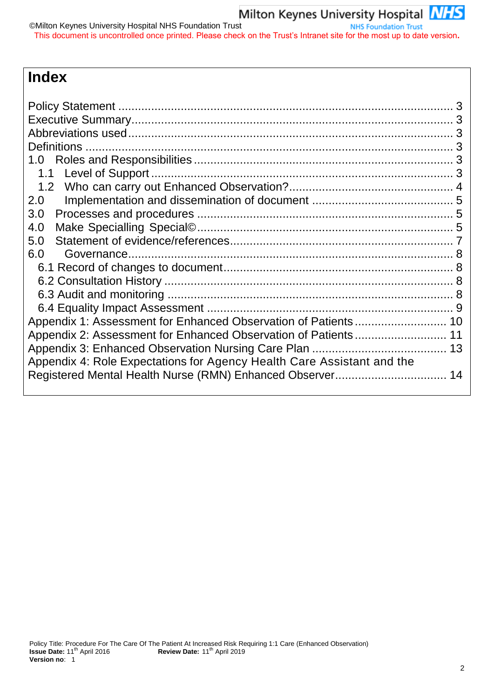# **Index**

| 1.0                                                                    |  |
|------------------------------------------------------------------------|--|
|                                                                        |  |
|                                                                        |  |
| 2.0                                                                    |  |
| 3.0                                                                    |  |
| 4.0                                                                    |  |
| 5.0                                                                    |  |
| 6.0                                                                    |  |
|                                                                        |  |
|                                                                        |  |
|                                                                        |  |
|                                                                        |  |
|                                                                        |  |
|                                                                        |  |
|                                                                        |  |
| Appendix 4: Role Expectations for Agency Health Care Assistant and the |  |
|                                                                        |  |
|                                                                        |  |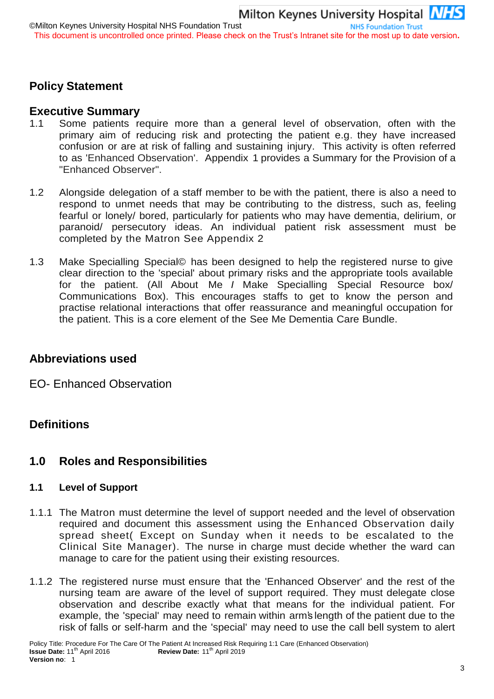# <span id="page-2-0"></span>**Policy Statement**

## <span id="page-2-1"></span>**Executive Summary**

- 1.1 Some patients require more than a general level of observation, often with the primary aim of reducing risk and protecting the patient e.g. they have increased confusion or are at risk of falling and sustaining injury. This activity is often referred to as 'Enhanced Observation'. Appendix 1 provides a Summary for the Provision of a "Enhanced Observer".
- 1.2 Alongside delegation of a staff member to be with the patient, there is also a need to respond to unmet needs that may be contributing to the distress, such as, feeling fearful or lonely/ bored, particularly for patients who may have dementia, delirium, or paranoid/ persecutory ideas. An individual patient risk assessment must be completed by the Matron See Appendix 2
- 1.3 Make Specialling Special© has been designed to help the registered nurse to give clear direction to the 'special' about primary risks and the appropriate tools available for the patient. (All About Me *I* Make Specialling Special Resource box/ Communications Box). This encourages staffs to get to know the person and practise relational interactions that offer reassurance and meaningful occupation for the patient. This is a core element of the See Me Dementia Care Bundle.

## <span id="page-2-2"></span>**Abbreviations used**

EO- Enhanced Observation

# <span id="page-2-3"></span>**Definitions**

## <span id="page-2-4"></span>**1.0 Roles and Responsibilities**

### <span id="page-2-5"></span>**1.1 Level of Support**

- 1.1.1 The Matron must determine the level of support needed and the level of observation required and document this assessment using the Enhanced Observation daily spread sheet( Except on Sunday when it needs to be escalated to the Clinical Site Manager). The nurse in charge must decide whether the ward can manage to care for the patient using their existing resources.
- 1.1.2 The registered nurse must ensure that the 'Enhanced Observer' and the rest of the nursing team are aware of the level of support required. They must delegate close observation and describe exactly what that means for the individual patient. For example, the 'special' may need to remain within arm's length of the patient due to the risk of falls or self-harm and the 'special' may need to use the call bell system to alert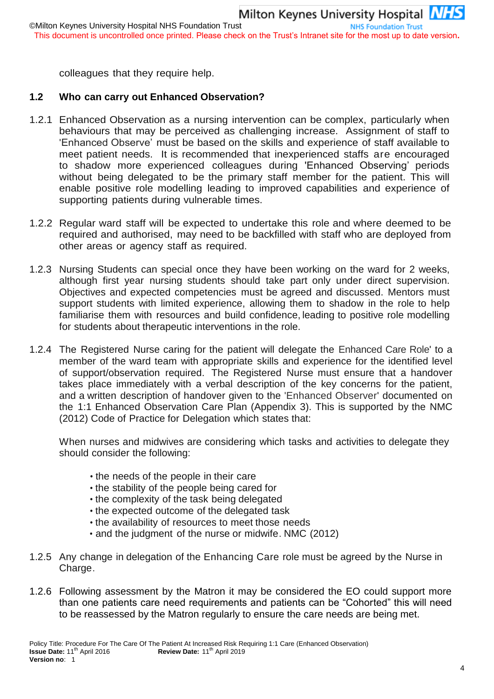colleagues that they require help.

# <span id="page-3-0"></span>**1.2 Who can carry out Enhanced Observation?**

- 1.2.1 Enhanced Observation as a nursing intervention can be complex, particularly when behaviours that may be perceived as challenging increase. Assignment of staff to 'Enhanced Observe' must be based on the skills and experience of staff available to meet patient needs. It is recommended that inexperienced staffs are encouraged to shadow more experienced colleagues during 'Enhanced Observing' periods without being delegated to be the primary staff member for the patient. This will enable positive role modelling leading to improved capabilities and experience of supporting patients during vulnerable times.
- 1.2.2 Regular ward staff will be expected to undertake this role and where deemed to be required and authorised, may need to be backfilled with staff who are deployed from other areas or agency staff as required.
- 1.2.3 Nursing Students can special once they have been working on the ward for 2 weeks, although first year nursing students should take part only under direct supervision. Objectives and expected competencies must be agreed and discussed. Mentors must support students with limited experience, allowing them to shadow in the role to help familiarise them with resources and build confidence, leading to positive role modelling for students about therapeutic interventions in the role.
- 1.2.4 The Registered Nurse caring for the patient will delegate the Enhanced Care Role' to a member of the ward team with appropriate skills and experience for the identified level of support/observation required. The Registered Nurse must ensure that a handover takes place immediately with a verbal description of the key concerns for the patient, and a written description of handover given to the 'Enhanced Observer' documented on the 1:1 Enhanced Observation Care Plan (Appendix 3). This is supported by the NMC (2012) Code of Practice for Delegation which states that:

When nurses and midwives are considering which tasks and activities to delegate they should consider the following:

- the needs of the people in their care
- the stability of the people being cared for
- the complexity of the task being delegated
- the expected outcome of the delegated task
- the availability of resources to meet those needs
- and the judgment of the nurse or midwife. NMC (2012)
- 1.2.5 Any change in delegation of the Enhancing Care role must be agreed by the Nurse in Charge.
- 1.2.6 Following assessment by the Matron it may be considered the EO could support more than one patients care need requirements and patients can be "Cohorted" this will need to be reassessed by the Matron regularly to ensure the care needs are being met.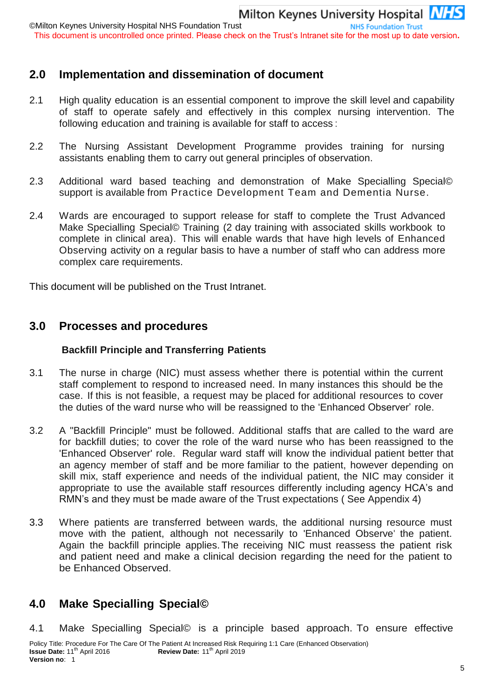©Milton Keynes University Hospital NHS Foundation Trust **NHS Foundation Trust** This document is uncontrolled once printed. Please check on the Trust's Intranet site for the most up to date version**.**

# <span id="page-4-0"></span>**2.0 Implementation and dissemination of document**

- 2.1 High quality education is an essential component to improve the skill level and capability of staff to operate safely and effectively in this complex nursing intervention. The following education and training is available for staff to access :
- 2.2 The Nursing Assistant Development Programme provides training for nursing assistants enabling them to carry out general principles of observation.
- 2.3 Additional ward based teaching and demonstration of Make Specialling Special© support is available from Practice Development Team and Dementia Nurse.
- 2.4 Wards are encouraged to support release for staff to complete the Trust Advanced Make Specialling Special© Training (2 day training with associated skills workbook to complete in clinical area). This will enable wards that have high levels of Enhanced Observing activity on a regular basis to have a number of staff who can address more complex care requirements.

This document will be published on the Trust Intranet.

## <span id="page-4-1"></span>**3.0 Processes and procedures**

#### **Backfill Principle and Transferring Patients**

- 3.1 The nurse in charge (NIC) must assess whether there is potential within the current staff complement to respond to increased need. In many instances this should be the case. If this is not feasible, a request may be placed for additional resources to cover the duties of the ward nurse who will be reassigned to the 'Enhanced Observer' role.
- 3.2 A "Backfill Principle" must be followed. Additional staffs that are called to the ward are for backfill duties; to cover the role of the ward nurse who has been reassigned to the 'Enhanced Observer' role. Regular ward staff will know the individual patient better that an agency member of staff and be more familiar to the patient, however depending on skill mix, staff experience and needs of the individual patient, the NIC may consider it appropriate to use the available staff resources differently including agency HCA's and RMN's and they must be made aware of the Trust expectations ( See Appendix 4)
- 3.3 Where patients are transferred between wards, the additional nursing resource must move with the patient, although not necessarily to 'Enhanced Observe' the patient. Again the backfill principle applies. The receiving NIC must reassess the patient risk and patient need and make a clinical decision regarding the need for the patient to be Enhanced Observed.

# <span id="page-4-2"></span>**4.0 Make Specialling Special©**

4.1 Make Specialling Special© is a principle based approach. To ensure effective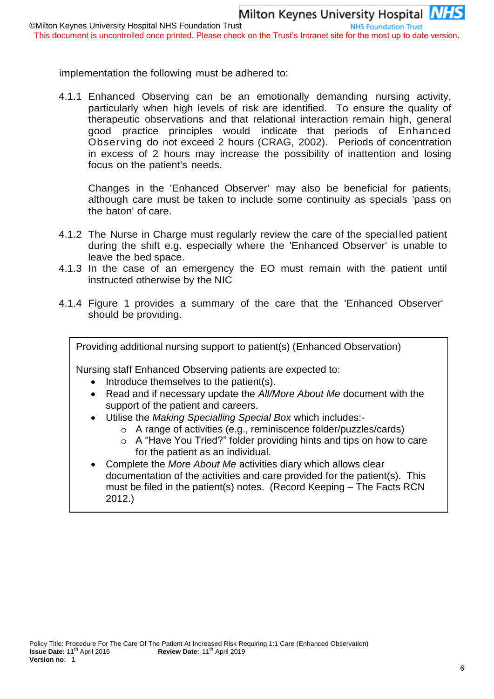implementation the following must be adhered to:

4.1.1 Enhanced Observing can be an emotionally demanding nursing activity, particularly when high levels of risk are identified. To ensure the quality of therapeutic observations and that relational interaction remain high, general good practice principles would indicate that periods of Enhanced Observing do not exceed 2 hours (CRAG, 2002). Periods of concentration in excess of 2 hours may increase the possibility of inattention and losing focus on the patient's needs.

Changes in the 'Enhanced Observer' may also be beneficial for patients, although care must be taken to include some continuity as specials 'pass on the baton' of care.

- 4.1.2 The Nurse in Charge must regularly review the care of the special led patient during the shift e.g. especially where the 'Enhanced Observer' is unable to leave the bed space.
- 4.1.3 In the case of an emergency the EO must remain with the patient until instructed otherwise by the NIC
- 4.1.4 Figure 1 provides a summary of the care that the 'Enhanced Observer' should be providing.

Providing additional nursing support to patient(s) (Enhanced Observation)

Nursing staff Enhanced Observing patients are expected to:

- Introduce themselves to the patient(s).
- Read and if necessary update the *All/More About Me* document with the support of the patient and careers.
- Utilise the *Making Specialling Special Box* which includes:
	- o A range of activities (e.g., reminiscence folder/puzzles/cards)
	- o A "Have You Tried?" folder providing hints and tips on how to care for the patient as an individual.
- Complete the *More About Me* activities diary which allows clear documentation of the activities and care provided for the patient(s). This must be filed in the patient(s) notes. (Record Keeping – The Facts RCN 2012.)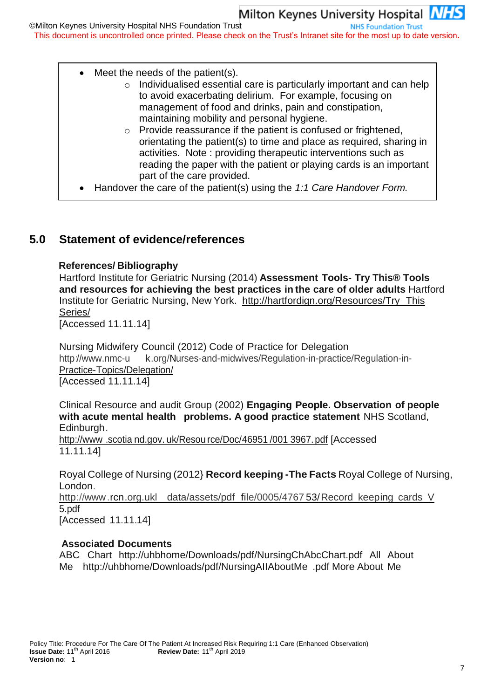# Milton Keynes University Hospital NHS

**NHS Foundation Trust** 

©Milton Keynes University Hospital NHS Foundation Trust This document is uncontrolled once printed. Please check on the Trust's Intranet site for the most up to date version**.**

- Meet the needs of the patient(s).
	- o Individualised essential care is particularly important and can help to avoid exacerbating delirium. For example, focusing on management of food and drinks, pain and constipation, maintaining mobility and personal hygiene.
	- o Provide reassurance if the patient is confused or frightened, orientating the patient(s) to time and place as required, sharing in activities. Note : providing therapeutic interventions such as reading the paper with the patient or playing cards is an important part of the care provided.
- Handover the care of the patient(s) using the *1:1 Care Handover Form.*

# <span id="page-6-0"></span>**5.0 Statement of evidence/references**

#### **References/ Bibliography**

Hartford Institute for Geriatric Nursing (2014) **Assessment Tools- Try This® Tools and resources for achieving the best practices in the care of older adults** Hartford Institute for Geriatric Nursing, New York. [http://hartfordign.org/Resources/Try T](http://hartfordign.org/Resources/Try)his Series/

[Accessed 11.11.14]

Nursing Midwifery Council (2012) Code of Practice for Delegation http://www.nmc-u k.org/Nurses-and-midwives/Regulation-in-practice/Regulation-in-Practice-Topics/Delegation/ [Accessed 11.11.14]

Clinical Resource and audit Group (2002) **Engaging People. Observation of people with acute mental health problems. A good practice statement** NHS Scotland, Edinburgh.

[http://www](http://www/) .scotia nd.gov. uk/Resou rce/Doc/46951 /001 3967. pdf [Accessed 11.11.14]

Royal College of Nursing (2012} **Record keeping -The Facts** Royal College of Nursing, London.

[http://www.](http://www/)rcn.org.ukl data/assets/pdf file/0005/4767 53/Record keeping cards V 5.pdf [Accessed 11.11.14]

#### **Associated Documents**

ABC Chart <http://uhbhome/Downloads/pdf/NursingChAbcChart.pdf> All About Me <http://uhbhome/Downloads/pdf/NursingAIIAboutMe> .pdf More About Me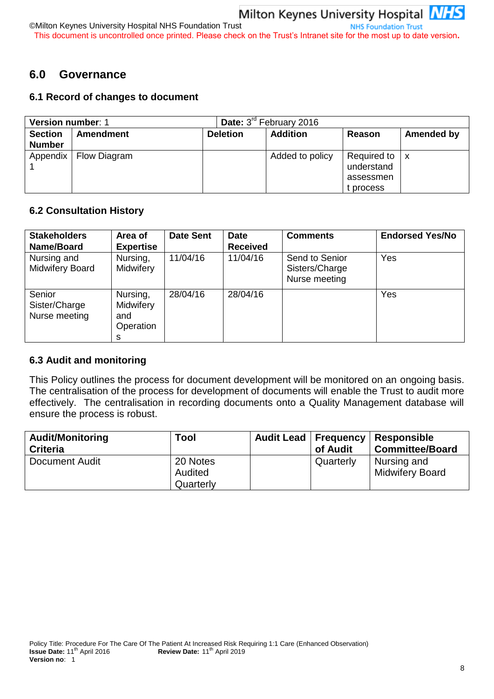©Milton Keynes University Hospital NHS Foundation Trust **NHS Foundation Trust** This document is uncontrolled once printed. Please check on the Trust's Intranet site for the most up to date version**.**

# <span id="page-7-0"></span>**6.0 Governance**

### <span id="page-7-1"></span>**6.1 Record of changes to document**

| <b>Version number: 1</b> |                  |                 | <b>Date:</b> $3^{10}$ February 2016 |                                                                     |            |  |
|--------------------------|------------------|-----------------|-------------------------------------|---------------------------------------------------------------------|------------|--|
| <b>Section</b>           | <b>Amendment</b> | <b>Deletion</b> | <b>Addition</b>                     | Reason                                                              | Amended by |  |
| <b>Number</b>            |                  |                 |                                     |                                                                     |            |  |
| Appendix                 | Flow Diagram     |                 | Added to policy                     | Required to $\vert x \vert$<br>understand<br>assessmen<br>t process |            |  |

#### <span id="page-7-2"></span>**6.2 Consultation History**

| <b>Stakeholders</b><br>Name/Board        | Area of<br><b>Expertise</b>                    | <b>Date Sent</b> | <b>Date</b><br><b>Received</b> | <b>Comments</b>                                   | <b>Endorsed Yes/No</b> |
|------------------------------------------|------------------------------------------------|------------------|--------------------------------|---------------------------------------------------|------------------------|
| Nursing and<br><b>Midwifery Board</b>    | Nursing,<br>Midwifery                          | 11/04/16         | 11/04/16                       | Send to Senior<br>Sisters/Charge<br>Nurse meeting | Yes                    |
| Senior<br>Sister/Charge<br>Nurse meeting | Nursing,<br>Midwifery<br>and<br>Operation<br>s | 28/04/16         | 28/04/16                       |                                                   | Yes                    |

#### <span id="page-7-3"></span>**6.3 Audit and monitoring**

This Policy outlines the process for document development will be monitored on an ongoing basis. The centralisation of the process for development of documents will enable the Trust to audit more effectively. The centralisation in recording documents onto a Quality Management database will ensure the process is robust.

| <b>Audit/Monitoring</b><br><b>Criteria</b> | Tool      | <b>Audit Lead</b> | <b>Frequency</b><br>of Audit | <b>Responsible</b><br><b>Committee/Board</b> |
|--------------------------------------------|-----------|-------------------|------------------------------|----------------------------------------------|
| Document Audit                             | 20 Notes  |                   | Quarterly                    | Nursing and                                  |
|                                            | Audited   |                   |                              | <b>Midwifery Board</b>                       |
|                                            | Quarterly |                   |                              |                                              |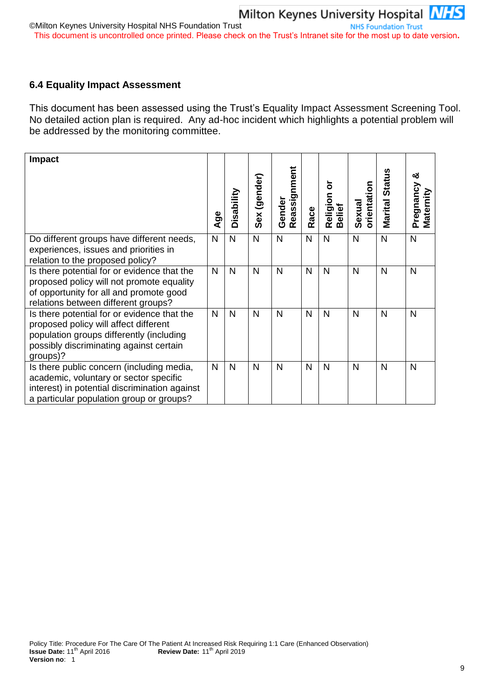#### <span id="page-8-0"></span>**6.4 Equality Impact Assessment**

This document has been assessed using the Trust's Equality Impact Assessment Screening Tool. No detailed action plan is required. Any ad-hoc incident which highlights a potential problem will be addressed by the monitoring committee.

| <b>Impact</b>                                                                                                                                                                           | Age | Disability   | Sex (gender) | Reassignment<br>Gender | Race         | ৯<br>Religion<br><b>Belief</b> | orientation<br>Sexual | Marital Status | య<br>Pregnancy<br>Maternity |
|-----------------------------------------------------------------------------------------------------------------------------------------------------------------------------------------|-----|--------------|--------------|------------------------|--------------|--------------------------------|-----------------------|----------------|-----------------------------|
| Do different groups have different needs,<br>experiences, issues and priorities in<br>relation to the proposed policy?                                                                  | N   | $\mathsf{N}$ | N            | N                      | $\mathsf{N}$ | N                              | $\mathsf{N}$          | N              | $\mathsf{N}$                |
| Is there potential for or evidence that the<br>proposed policy will not promote equality<br>of opportunity for all and promote good<br>relations between different groups?              | N   | $\mathsf{N}$ | $\mathsf{N}$ | N                      | N            | N                              | N                     | N              | N                           |
| Is there potential for or evidence that the<br>proposed policy will affect different<br>population groups differently (including<br>possibly discriminating against certain<br>groups)? | N   | $\mathsf{N}$ | N            | N                      | N            | N                              | N                     | N              | N                           |
| Is there public concern (including media,<br>academic, voluntary or sector specific<br>interest) in potential discrimination against<br>a particular population group or groups?        | N   | N            | N            | N                      | N            | N                              | N                     | N              | N                           |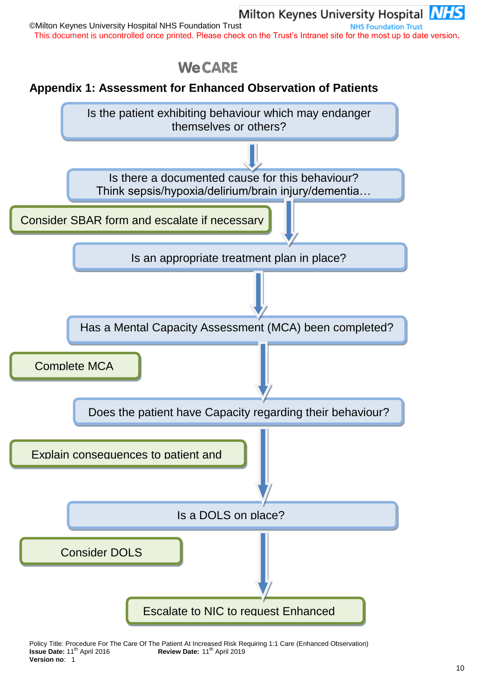# Milton Keynes University Hospital **NHS**

©Milton Keynes University Hospital NHS Foundation Trust **NHS Foundation Trust** This document is uncontrolled once printed. Please check on the Trust's Intranet site for the most up to date version**.**



# <span id="page-9-0"></span>**Appendix 1: Assessment for Enhanced Observation of Patients**



Policy Title: Procedure For The Care Of The Patient At Increased Risk Requiring 1:1 Care (Enhanced Observation)<br> **Review Date:** 11<sup>th</sup> April 2019 **Issue Date:** 11th April 2016 **Review Date:** 11th April 2019 **Version no**: 1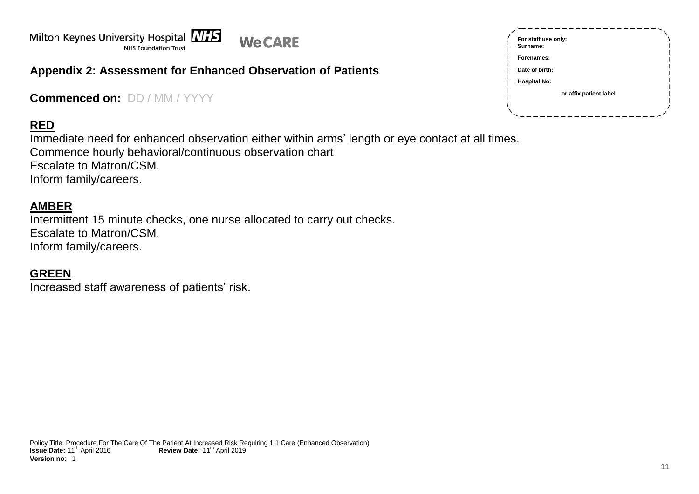

# **Appendix 2: Assessment for Enhanced Observation of Patients**

**Commenced on:** DD / MM / YYYY

# **RED**

Immediate need for enhanced observation either within arms' length or eye contact at all times. Commence hourly behavioral/continuous observation chart Escalate to Matron/CSM. Inform family/careers.

## **AMBER**

Intermittent 15 minute checks, one nurse allocated to carry out checks. Escalate to Matron/CSM. Inform family/careers.

# <span id="page-10-0"></span>**GREEN**

Increased staff awareness of patients' risk.

| For staff use only:<br>Surname: |
|---------------------------------|
| Forenames:                      |
| Date of birth:                  |
| <b>Hospital No:</b>             |
| or affix patient label          |
|                                 |
|                                 |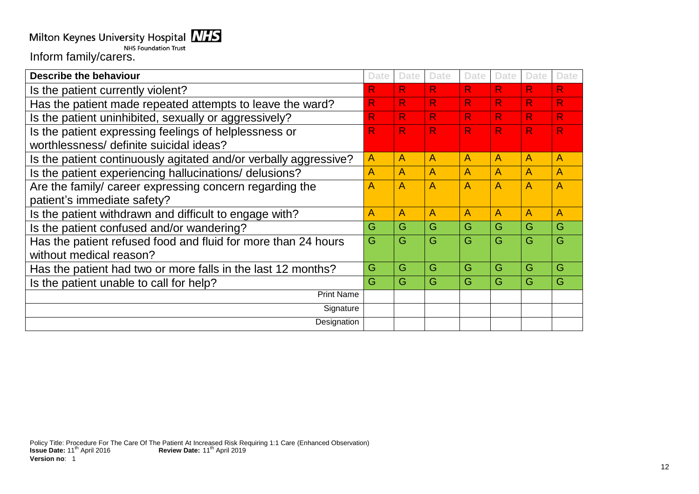# Milton Keynes University Hospital NHS

**NHS Foundation Trust** Inform family/carers.

**Describe the behaviour Date Date Date Date Date Date Date** Is the patient currently violent?<br>
Has the patient made repeated attempts to leave the ward?<br>
R R R R R R R Has the patient made repeated attempts to leave the ward? R R R R R R R Is the patient uninhibited, sexually or aggressively? R R R R R R R Is the patient expressing feelings of helplessness or worthlessness/ definite suicidal ideas? R R R R R R Is the patient continuously agitated and/or verbally aggressive? A A A A A A A Is the patient experiencing hallucinations/ delusions? A A A A A A A Are the family/ career expressing concern regarding the patient's immediate safety? A |A |A |A |A |A |A Is the patient withdrawn and difficult to engage with? A A A A A A A Is the patient confused and/or wandering?  $\begin{array}{c|c|c|c|c|c} \hline \text{G} & \text{G} & \text{G} & \text{G} & \text{G} & \text{G} & \text{G} \\\hline \end{array}$ Has the patient refused food and fluid for more than 24 hours without medical reason? G |G |G |G |G |G |G Has the patient had two or more falls in the last 12 months? G G G G G G G Is the patient unable to call for help?  $\begin{array}{c|c|c|c|c|c|c|c|c} \hline \text{G} & \text{G} & \text{G} & \text{G} & \text{G} & \text{G} & \text{G} \\\hline \end{array}$ Print Name **Signature** Designation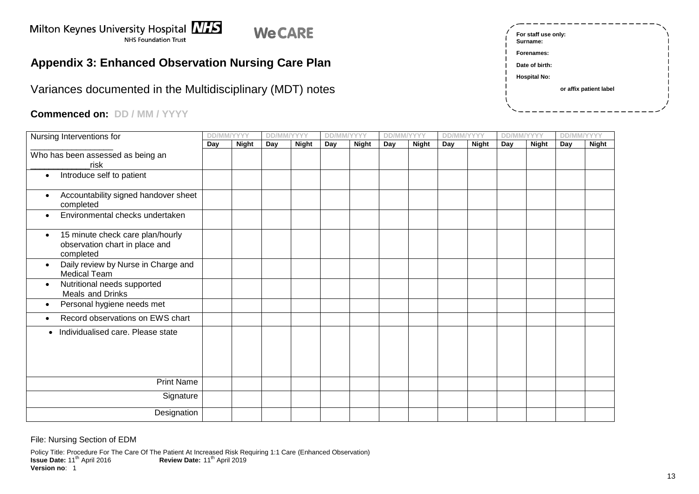#### Milton Keynes University Hospital **NHS We CARE** NHS Foundation Trust

# **Appendix 3: Enhanced Observation Nursing Care Plan**

Variances documented in the Multidisciplinary (MDT) notes

# **Commenced on: DD / MM / YYYY**

<span id="page-12-0"></span>

| Nursing Interventions for                                                                    | <b>DD/MM/YYYY</b> |              | DD/MM/YYYY |              | <b>DD/MM/YYYY</b> |              | <b>DD/MM/YYYY</b> |              | <b>DD/MM/YYYY</b> |              | <b>DD/MM/YYYY</b> |              | <b>DD/MM/YYYY</b> |              |
|----------------------------------------------------------------------------------------------|-------------------|--------------|------------|--------------|-------------------|--------------|-------------------|--------------|-------------------|--------------|-------------------|--------------|-------------------|--------------|
|                                                                                              | Day               | <b>Night</b> | Day        | <b>Night</b> | Day               | <b>Night</b> | Day               | <b>Night</b> | Day               | <b>Night</b> | Day               | <b>Night</b> | Day               | <b>Night</b> |
| Who has been assessed as being an<br>risk                                                    |                   |              |            |              |                   |              |                   |              |                   |              |                   |              |                   |              |
| Introduce self to patient                                                                    |                   |              |            |              |                   |              |                   |              |                   |              |                   |              |                   |              |
| Accountability signed handover sheet<br>$\bullet$<br>completed                               |                   |              |            |              |                   |              |                   |              |                   |              |                   |              |                   |              |
| Environmental checks undertaken<br>$\bullet$                                                 |                   |              |            |              |                   |              |                   |              |                   |              |                   |              |                   |              |
| 15 minute check care plan/hourly<br>$\bullet$<br>observation chart in place and<br>completed |                   |              |            |              |                   |              |                   |              |                   |              |                   |              |                   |              |
| Daily review by Nurse in Charge and<br>$\bullet$<br><b>Medical Team</b>                      |                   |              |            |              |                   |              |                   |              |                   |              |                   |              |                   |              |
| Nutritional needs supported<br>$\bullet$<br>Meals and Drinks                                 |                   |              |            |              |                   |              |                   |              |                   |              |                   |              |                   |              |
| Personal hygiene needs met<br>$\bullet$                                                      |                   |              |            |              |                   |              |                   |              |                   |              |                   |              |                   |              |
| Record observations on EWS chart<br>$\bullet$                                                |                   |              |            |              |                   |              |                   |              |                   |              |                   |              |                   |              |
| Individualised care. Please state<br>$\bullet$                                               |                   |              |            |              |                   |              |                   |              |                   |              |                   |              |                   |              |
| <b>Print Name</b>                                                                            |                   |              |            |              |                   |              |                   |              |                   |              |                   |              |                   |              |
| Signature                                                                                    |                   |              |            |              |                   |              |                   |              |                   |              |                   |              |                   |              |
| Designation                                                                                  |                   |              |            |              |                   |              |                   |              |                   |              |                   |              |                   |              |

| For staff use only:<br>Surname: |                        |
|---------------------------------|------------------------|
| Forenames:                      |                        |
| Date of birth:                  |                        |
| <b>Hospital No:</b>             |                        |
|                                 | or affix patient label |